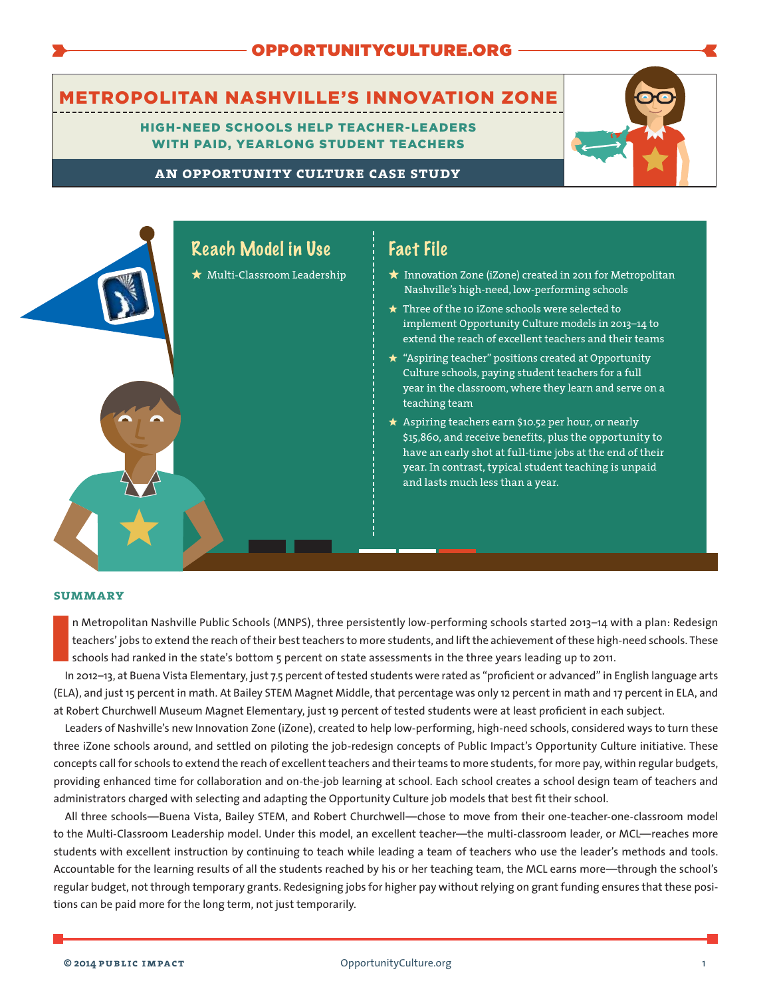# [OPPORTUNITYCULTURE.ORG](http://www.opportunityculture.org)

# METROPOLITAN NASHVILLE'S INNOVATION ZONE

HIGH-NEED SCHOOLS HELP TEACHER-LEADERS WITH PAID, YEARLONG STUDENT TEACHERS



**an opportunity culture case study**



### **summary**

I<br>Ir n Metropolitan Nashville Public Schools (MNPS), three persistently low-performing schools started 2013–14 with a plan: Redesign teachers' jobs to extend the reach of their best teachers to more students, and liftthe achievement ofthese high-need schools. These schools had ranked in the state's bottom 5 percent on state assessments in the three years leading up to 2011.

In 2012–13, at Buena Vista Elementary, just 7.5 percent oftested students were rated as "proficient or advanced" in English language arts (ELA), and just 15 percent in math. At Bailey STEM Magnet Middle, that percentage was only 12 percent in math and 17 percent in ELA, and at Robert Churchwell Museum Magnet Elementary, just 19 percent of tested students were at least proficient in each subject.

Leaders of Nashville's new Innovation Zone (iZone), created to help low-performing, high-need schools, considered ways to turn these three iZone schools around, and settled on piloting the job-redesign concepts of Public Impact's Opportunity Culture initiative. These concepts call for schools to extend the reach of excellent teachers and their teams to more students, for more pay, within regular budgets, providing enhanced time for collaboration and on-the-job learning at school. Each school creates a school design team of teachers and administrators charged with selecting and adapting the Opportunity Culture job models that best fit their school.

All three schools—Buena Vista, Bailey STEM, and Robert Churchwell—chose to move from their one-teacher-one-classroom model to the Multi-Classroom Leadership model. Under this model, an excellent teacher—the multi-classroom leader, or MCL—reaches more students with excellent instruction by continuing to teach while leading a team of teachers who use the leader's methods and tools. Accountable for the learning results of all the students reached by his or her teaching team, the MCL earns more—through the school's regular budget, not through temporary grants. Redesigning jobs for higher pay without relying on grant funding ensures that these positions can be paid more for the long term, not just temporarily.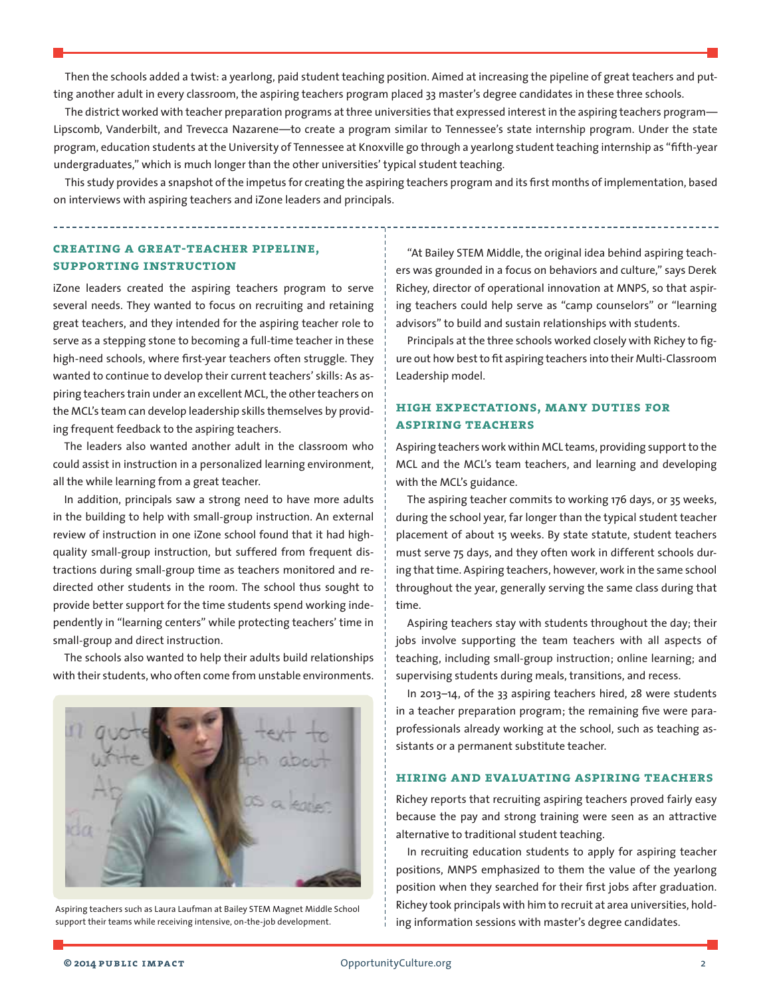Then the schools added a twist: a yearlong, paid student teaching position. Aimed at increasing the pipeline of great teachers and putting another adult in every classroom, the aspiring teachers program placed 33 master's degree candidates in these three schools.

The district worked with teacher preparation programs at three universities that expressed interest in the aspiring teachers program— Lipscomb, Vanderbilt, and Trevecca Nazarene—to create a program similar to Tennessee's state internship program. Under the state program, education students at the University of Tennessee at Knoxville go through a yearlong student teaching internship as "fifth-year undergraduates," which is much longer than the other universities' typical student teaching.

This study provides a snapshot ofthe impetus for creating the aspiring teachers program and its first months of implementation, based on interviews with aspiring teachers and iZone leaders and principals.

**creating a great-teacher pipeline, supporting instruction**

iZone leaders created the aspiring teachers program to serve several needs. They wanted to focus on recruiting and retaining great teachers, and they intended for the aspiring teacher role to serve as a stepping stone to becoming a full-time teacher in these high-need schools, where first-year teachers often struggle. They wanted to continue to develop their current teachers' skills: As aspiring teachers train under an excellent MCL, the other teachers on the MCL's team can develop leadership skills themselves by providing frequent feedback to the aspiring teachers.

The leaders also wanted another adult in the classroom who could assist in instruction in a personalized learning environment, all the while learning from a great teacher.

In addition, principals saw a strong need to have more adults in the building to help with small-group instruction. An external review of instruction in one iZone school found that it had highquality small-group instruction, but suffered from frequent distractions during small-group time as teachers monitored and redirected other students in the room. The school thus sought to provide better support for the time students spend working independently in "learning centers" while protecting teachers' time in small-group and direct instruction.

The schools also wanted to help their adults build relationships with their students, who often come from unstable environments.



Aspiring teachers such as Laura Laufman at Bailey STEM Magnet Middle School support their teams while receiving intensive, on-the-job development.

"At Bailey STEM Middle, the original idea behind aspiring teachers was grounded in a focus on behaviors and culture," says Derek Richey, director of operational innovation at MNPS, so that aspiring teachers could help serve as "camp counselors" or "learning advisors" to build and sustain relationships with students.

Principals at the three schools worked closely with Richey to figure out how best to fit aspiring teachers into their Multi-Classroom Leadership model.

## **high expectations, many duties for aspiring teachers**

Aspiring teachers work within MCL teams, providing support to the MCL and the MCL's team teachers, and learning and developing with the MCL's guidance.

The aspiring teacher commits to working 176 days, or 35 weeks, during the school year, far longer than the typical student teacher placement of about 15 weeks. By state statute, student teachers must serve 75 days, and they often work in different schools during that time. Aspiring teachers, however, work in the same school throughout the year, generally serving the same class during that time.

Aspiring teachers stay with students throughout the day; their jobs involve supporting the team teachers with all aspects of teaching, including small-group instruction; online learning; and supervising students during meals, transitions, and recess.

In 2013–14, of the 33 aspiring teachers hired, 28 were students in a teacher preparation program; the remaining five were paraprofessionals already working at the school, such as teaching assistants or a permanent substitute teacher.

#### **hiring and evaluating aspiring teachers**

Richey reports that recruiting aspiring teachers proved fairly easy because the pay and strong training were seen as an attractive alternative to traditional student teaching.

In recruiting education students to apply for aspiring teacher positions, MNPS emphasized to them the value of the yearlong position when they searched for their first jobs after graduation. Richey took principals with him to recruit at area universities, holding information sessions with master's degree candidates.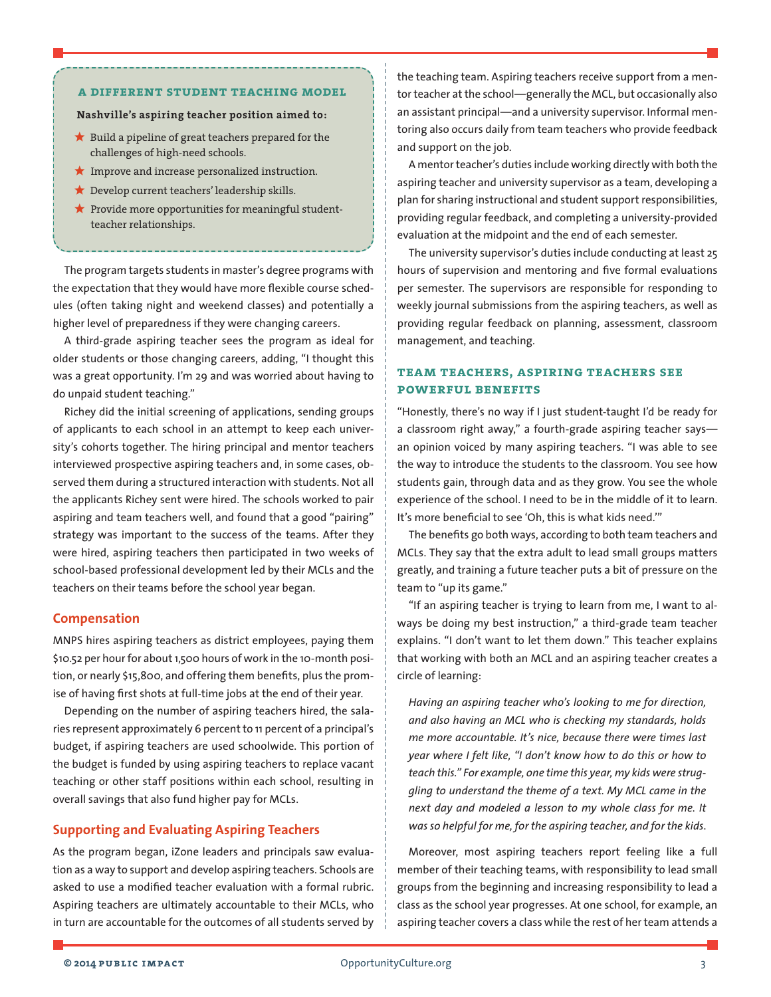#### **a different student teaching model**

#### **Nashville's aspiring teacher position aimed to:**

- **?** Build a pipeline of great teachers prepared for the challenges of high-need schools.
- **?** Improve and increase personalized instruction.
- **\*** Develop current teachers' leadership skills.
- **?** Provide more opportunities for meaningful studentteacher relationships.

The program targets students in master's degree programs with the expectation that they would have more flexible course schedules (often taking night and weekend classes) and potentially a higher level of preparedness if they were changing careers.

A third-grade aspiring teacher sees the program as ideal for older students or those changing careers, adding, "I thought this was a great opportunity. I'm 29 and was worried about having to do unpaid student teaching."

Richey did the initial screening of applications, sending groups of applicants to each school in an attempt to keep each university's cohorts together. The hiring principal and mentor teachers interviewed prospective aspiring teachers and, in some cases, observed them during a structured interaction with students. Not all the applicants Richey sent were hired. The schools worked to pair aspiring and team teachers well, and found that a good "pairing" strategy was important to the success of the teams. After they were hired, aspiring teachers then participated in two weeks of school-based professional development led by their MCLs and the teachers on their teams before the school year began.

#### **Compensation**

MNPS hires aspiring teachers as district employees, paying them \$10.52 per hour for about 1,500 hours of work in the 10-month position, or nearly \$15,800, and offering them benefits, plus the promise of having first shots at full-time jobs at the end of their year.

Depending on the number of aspiring teachers hired, the salaries represent approximately 6 percent to 11 percent of a principal's budget, if aspiring teachers are used schoolwide. This portion of the budget is funded by using aspiring teachers to replace vacant teaching or other staff positions within each school, resulting in overall savings that also fund higher pay for MCLs.

#### **Supporting and Evaluating Aspiring Teachers**

As the program began, iZone leaders and principals saw evaluation as a way to support and develop aspiring teachers. Schools are asked to use a modified teacher evaluation with a formal rubric. Aspiring teachers are ultimately accountable to their MCLs, who in turn are accountable for the outcomes of all students served by

the teaching team. Aspiring teachers receive support from a mentor teacher at the school—generally the MCL, but occasionally also an assistant principal—and a university supervisor. Informal mentoring also occurs daily from team teachers who provide feedback and support on the job.

A mentor teacher's duties include working directly with both the aspiring teacher and university supervisor as a team, developing a plan for sharing instructional and student support responsibilities, providing regular feedback, and completing a university-provided evaluation at the midpoint and the end of each semester.

The university supervisor's duties include conducting at least 25 hours of supervision and mentoring and five formal evaluations per semester. The supervisors are responsible for responding to weekly journal submissions from the aspiring teachers, as well as providing regular feedback on planning, assessment, classroom management, and teaching.

### **team teachers, aspiring teachers see powerful benefits**

"Honestly, there's no way if I just student-taught I'd be ready for a classroom right away," a fourth-grade aspiring teacher says an opinion voiced by many aspiring teachers. "I was able to see the way to introduce the students to the classroom. You see how students gain, through data and as they grow. You see the whole experience of the school. I need to be in the middle of it to learn. It's more beneficial to see 'Oh, this is what kids need.'"

The benefits go both ways, according to both team teachers and MCLs. They say that the extra adult to lead small groups matters greatly, and training a future teacher puts a bit of pressure on the team to "up its game."

"If an aspiring teacher is trying to learn from me, I want to always be doing my best instruction," a third-grade team teacher explains. "I don't want to let them down." This teacher explains that working with both an MCL and an aspiring teacher creates a circle of learning:

*Having an aspiring teacher who's looking to me for direction, and also having an MCL who is checking my standards, holds me more accountable. It's nice, because there were times last year where I felt like, "I don't know how to do this or how to teach this." For example, one time this year, my kids were struggling to understand the theme of a text. My MCL came in the next day and modeled a lesson to my whole class for me. It was so helpful for me, for the aspiring teacher, and for the kids*.

Moreover, most aspiring teachers report feeling like a full member of their teaching teams, with responsibility to lead small groups from the beginning and increasing responsibility to lead a class as the school year progresses. At one school, for example, an aspiring teacher covers a class while the rest of her team attends a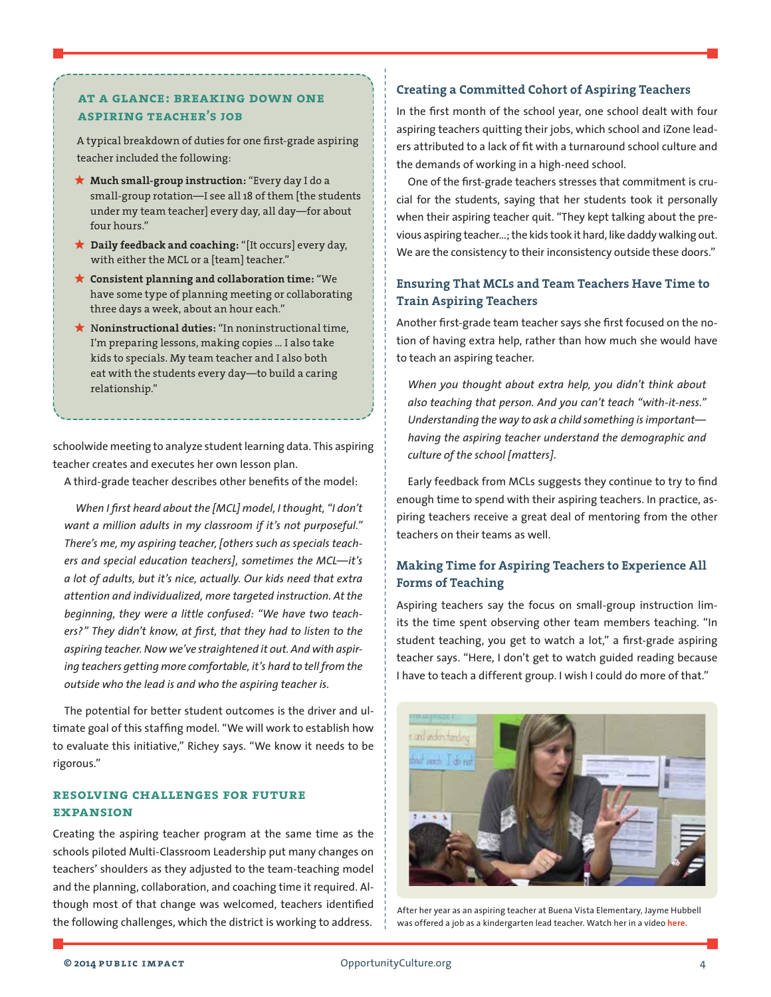### **at a glance: breaking down one aspiring teacher's job**

A typical breakdown of duties for one first-grade aspiring teacher included the following:

- **? Much small-group instruction:** "Every day I do a small-group rotation—I see all 18 of them [the students under my team teacher] every day, all day—for about four hours."
- **? Daily feedback and coaching:** "[It occurs] every day, with either the MCL or a [team] teacher."
- **? Consistent planning and collaboration time:** "We have some type of planning meeting or collaborating three days a week, about an hour each."
- **?** N**oninstructional duties:** "In noninstructional time, I'm preparing lessons, making copies … I also take kids to specials. My team teacher and I also both eat with the students every day—to build a caring relationship."

schoolwide meeting to analyze student learning data. This aspiring teacher creates and executes her own lesson plan.

A third-grade teacher describes other benefits of the model:

*When I first heard about the [MCL] model, I thought, "I don't want a million adults in my classroom if it's not purposeful." There's me, my aspiring teacher, [others such as specials teachers and special education teachers], sometimes the MCL—it's a lot of adults, but it's nice, actually. Our kids need that extra attention and individualized, more targeted instruction. At the beginning, they were a little confused: "We have two teachers?" They didn't know, at first, that they had to listen to the aspiring teacher. Now we've straightened it out. And with aspiring teachers getting more comfortable, it's hard to tell from the outside who the lead is and who the aspiring teacher is.*

The potential for better student outcomes is the driver and ultimate goal of this staffing model. "We will work to establish how to evaluate this initiative," Richey says. "We know it needs to be rigorous."

### **resolving challenges for future expansion**

Creating the aspiring teacher program at the same time as the schools piloted Multi-Classroom Leadership put many changes on teachers' shoulders as they adjusted to the team-teaching model and the planning, collaboration, and coaching time it required. Although most of that change was welcomed, teachers identified the following challenges, which the district is working to address.

#### **Creating a Committed Cohort of Aspiring Teachers**

In the first month of the school year, one school dealt with four aspiring teachers quitting their jobs, which school and iZone leaders attributed to a lack of fit with a turnaround school culture and the demands of working in a high-need school.

One of the first-grade teachers stresses that commitment is crucial for the students, saying that her students took it personally when their aspiring teacher quit. "They kept talking about the previous aspiring teacher...; the kids took it hard, like daddy walking out. We are the consistency to their inconsistency outside these doors."

# **Ensuring That MCLs and Team Teachers Have Time to Train Aspiring Teachers**

Another first-grade team teacher says she first focused on the notion of having extra help, rather than how much she would have to teach an aspiring teacher.

*When you thought about extra help, you didn't think about also teaching that person. And you can't teach "with-it-ness." Understanding the way to ask a child something is important having the aspiring teacher understand the demographic and culture of the school [matters].*

Early feedback from MCLs suggests they continue to try to find enough time to spend with their aspiring teachers. In practice, aspiring teachers receive a great deal of mentoring from the other teachers on their teams as well.

### **Making Time for Aspiring Teachers to Experience All Forms of Teaching**

Aspiring teachers say the focus on small-group instruction limits the time spent observing other team members teaching. "In student teaching, you get to watch a lot," a first-grade aspiring teacher says. "Here, I don't get to watch guided reading because I have to teach a different group. I wish I could do more of that."



After her year as an aspiring teacher at Buena Vista Elementary, Jayme Hubbell was offered a job as a kindergarten lead teacher. Watch her in a video **[here](http://opportunityculture.org/team-teachers-tell-all-why-opportunity-culture-teams-work/).**